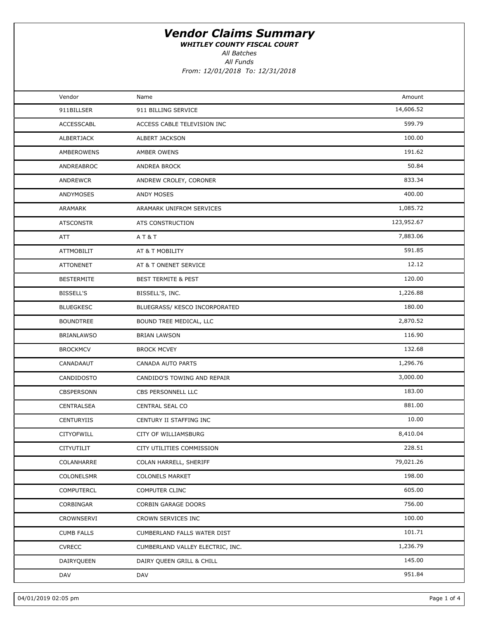WHITLEY COUNTY FISCAL COURT

All Funds All Batches

| Vendor            | Name                             | Amount     |  |
|-------------------|----------------------------------|------------|--|
| 911BILLSER        | 911 BILLING SERVICE              | 14,606.52  |  |
| <b>ACCESSCABL</b> | ACCESS CABLE TELEVISION INC      | 599.79     |  |
| ALBERTJACK        | <b>ALBERT JACKSON</b>            | 100.00     |  |
| AMBEROWENS        | AMBER OWENS                      | 191.62     |  |
| ANDREABROC        | ANDREA BROCK                     | 50.84      |  |
| ANDREWCR          | ANDREW CROLEY, CORONER           | 833.34     |  |
| ANDYMOSES         | ANDY MOSES                       | 400.00     |  |
| ARAMARK           | ARAMARK UNIFROM SERVICES         | 1,085.72   |  |
| <b>ATSCONSTR</b>  | ATS CONSTRUCTION                 | 123,952.67 |  |
| ATT               | AT&T                             | 7,883.06   |  |
| <b>ATTMOBILIT</b> | AT & T MOBILITY                  | 591.85     |  |
| <b>ATTONENET</b>  | AT & T ONENET SERVICE            | 12.12      |  |
| <b>BESTERMITE</b> | <b>BEST TERMITE &amp; PEST</b>   | 120.00     |  |
| <b>BISSELL'S</b>  | BISSELL'S, INC.                  | 1,226.88   |  |
| <b>BLUEGKESC</b>  | BLUEGRASS/ KESCO INCORPORATED    | 180.00     |  |
| <b>BOUNDTREE</b>  | BOUND TREE MEDICAL, LLC          | 2,870.52   |  |
| <b>BRIANLAWSO</b> | <b>BRIAN LAWSON</b>              | 116.90     |  |
| <b>BROCKMCV</b>   | <b>BROCK MCVEY</b>               | 132.68     |  |
| CANADAAUT         | CANADA AUTO PARTS                | 1,296.76   |  |
| CANDIDOSTO        | CANDIDO'S TOWING AND REPAIR      | 3,000.00   |  |
| CBSPERSONN        | CBS PERSONNELL LLC               | 183.00     |  |
| CENTRALSEA        | CENTRAL SEAL CO                  | 881.00     |  |
| CENTURYIIS        | CENTURY II STAFFING INC          | 10.00      |  |
| <b>CITYOFWILL</b> | CITY OF WILLIAMSBURG             | 8,410.04   |  |
| CITYUTILIT        | CITY UTILITIES COMMISSION        | 228.51     |  |
| COLANHARRE        | COLAN HARRELL, SHERIFF           | 79,021.26  |  |
| COLONELSMR        | <b>COLONELS MARKET</b>           | 198.00     |  |
| COMPUTERCL        | COMPUTER CLINC                   | 605.00     |  |
| CORBINGAR         | CORBIN GARAGE DOORS              | 756.00     |  |
| CROWNSERVI        | CROWN SERVICES INC               | 100.00     |  |
| <b>CUMB FALLS</b> | CUMBERLAND FALLS WATER DIST      | 101.71     |  |
| <b>CVRECC</b>     | CUMBERLAND VALLEY ELECTRIC, INC. | 1,236.79   |  |
| DAIRYQUEEN        | DAIRY QUEEN GRILL & CHILL        | 145.00     |  |
| DAV               | DAV                              | 951.84     |  |
|                   |                                  |            |  |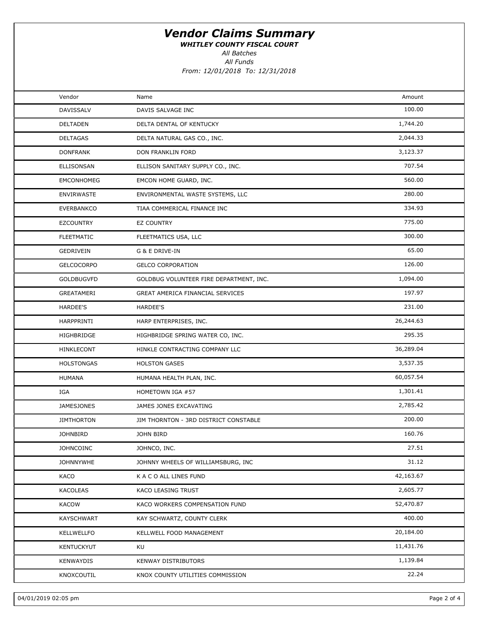WHITLEY COUNTY FISCAL COURT

All Batches

All Funds

| Vendor            | Name                                    | Amount    |  |
|-------------------|-----------------------------------------|-----------|--|
| DAVISSALV         | DAVIS SALVAGE INC                       | 100.00    |  |
| <b>DELTADEN</b>   | DELTA DENTAL OF KENTUCKY                | 1,744.20  |  |
| <b>DELTAGAS</b>   | DELTA NATURAL GAS CO., INC.             | 2,044.33  |  |
| <b>DONFRANK</b>   | DON FRANKLIN FORD                       | 3,123.37  |  |
| ELLISONSAN        | ELLISON SANITARY SUPPLY CO., INC.       | 707.54    |  |
| <b>EMCONHOMEG</b> | EMCON HOME GUARD, INC.                  | 560.00    |  |
| <b>ENVIRWASTE</b> | ENVIRONMENTAL WASTE SYSTEMS, LLC        | 280.00    |  |
| <b>EVERBANKCO</b> | TIAA COMMERICAL FINANCE INC             | 334.93    |  |
| <b>EZCOUNTRY</b>  | EZ COUNTRY                              | 775.00    |  |
| <b>FLEETMATIC</b> | FLEETMATICS USA, LLC                    | 300.00    |  |
| GEDRIVEIN         | G & E DRIVE-IN                          | 65.00     |  |
| <b>GELCOCORPO</b> | <b>GELCO CORPORATION</b>                | 126.00    |  |
| <b>GOLDBUGVFD</b> | GOLDBUG VOLUNTEER FIRE DEPARTMENT, INC. | 1,094.00  |  |
| GREATAMERI        | GREAT AMERICA FINANCIAL SERVICES        | 197.97    |  |
| <b>HARDEE'S</b>   | HARDEE'S                                | 231.00    |  |
| HARPPRINTI        | HARP ENTERPRISES, INC.                  | 26,244.63 |  |
| HIGHBRIDGE        | HIGHBRIDGE SPRING WATER CO, INC.        | 295.35    |  |
| HINKLECONT        | HINKLE CONTRACTING COMPANY LLC          | 36,289.04 |  |
| <b>HOLSTONGAS</b> | <b>HOLSTON GASES</b>                    | 3,537.35  |  |
| <b>HUMANA</b>     | HUMANA HEALTH PLAN, INC.                | 60,057.54 |  |
| IGA               | HOMETOWN IGA #57                        | 1,301.41  |  |
| <b>JAMESJONES</b> | JAMES JONES EXCAVATING                  | 2,785.42  |  |
| <b>JIMTHORTON</b> | JIM THORNTON - 3RD DISTRICT CONSTABLE   | 200.00    |  |
| <b>JOHNBIRD</b>   | <b>JOHN BIRD</b>                        | 160.76    |  |
| <b>JOHNCOINC</b>  | JOHNCO, INC.                            | 27.51     |  |
| <b>JOHNNYWHE</b>  | JOHNNY WHEELS OF WILLIAMSBURG, INC      | 31.12     |  |
| KACO              | K A C O ALL LINES FUND                  | 42,163.67 |  |
| <b>KACOLEAS</b>   | KACO LEASING TRUST                      | 2,605.77  |  |
| <b>KACOW</b>      | KACO WORKERS COMPENSATION FUND          | 52,470.87 |  |
| KAYSCHWART        | KAY SCHWARTZ, COUNTY CLERK              | 400.00    |  |
| KELLWELLFO        | KELLWELL FOOD MANAGEMENT                | 20,184.00 |  |
| KENTUCKYUT        | KU                                      | 11,431.76 |  |
| KENWAYDIS         | KENWAY DISTRIBUTORS                     | 1,139.84  |  |
| KNOXCOUTIL        | KNOX COUNTY UTILITIES COMMISSION        | 22.24     |  |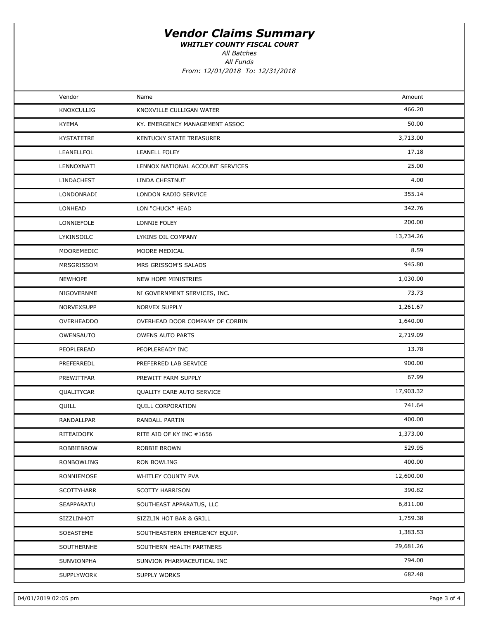WHITLEY COUNTY FISCAL COURT

All Batches

All Funds

| Vendor            | Name                             | Amount    |  |
|-------------------|----------------------------------|-----------|--|
| <b>KNOXCULLIG</b> | KNOXVILLE CULLIGAN WATER         | 466.20    |  |
| <b>KYEMA</b>      | KY. EMERGENCY MANAGEMENT ASSOC   | 50.00     |  |
| <b>KYSTATETRE</b> | KENTUCKY STATE TREASURER         | 3,713.00  |  |
| LEANELLFOL        | LEANELL FOLEY                    | 17.18     |  |
| LENNOXNATI        | LENNOX NATIONAL ACCOUNT SERVICES | 25.00     |  |
| LINDACHEST        | LINDA CHESTNUT                   | 4.00      |  |
| LONDONRADI        | LONDON RADIO SERVICE             | 355.14    |  |
| LONHEAD           | LON "CHUCK" HEAD                 | 342.76    |  |
| LONNIEFOLE        | LONNIE FOLEY                     | 200.00    |  |
| LYKINSOILC        | LYKINS OIL COMPANY               | 13,734.26 |  |
| MOOREMEDIC        | MOORE MEDICAL                    | 8.59      |  |
| MRSGRISSOM        | MRS GRISSOM'S SALADS             | 945.80    |  |
| <b>NEWHOPE</b>    | NEW HOPE MINISTRIES              | 1,030.00  |  |
| NIGOVERNME        | NI GOVERNMENT SERVICES, INC.     | 73.73     |  |
| NORVEXSUPP        | NORVEX SUPPLY                    | 1,261.67  |  |
| <b>OVERHEADDO</b> | OVERHEAD DOOR COMPANY OF CORBIN  | 1,640.00  |  |
| OWENSAUTO         | <b>OWENS AUTO PARTS</b>          | 2,719.09  |  |
| PEOPLEREAD        | PEOPLEREADY INC                  | 13.78     |  |
| PREFERREDL        | PREFERRED LAB SERVICE            | 900.00    |  |
| PREWITTFAR        | PREWITT FARM SUPPLY              | 67.99     |  |
| QUALITYCAR        | QUALITY CARE AUTO SERVICE        | 17,903.32 |  |
| QUILL             | <b>QUILL CORPORATION</b>         | 741.64    |  |
| RANDALLPAR        | RANDALL PARTIN                   | 400.00    |  |
| RITEAIDOFK        | RITE AID OF KY INC #1656         | 1,373.00  |  |
| ROBBIEBROW        | ROBBIE BROWN                     | 529.95    |  |
| RONBOWLING        | <b>RON BOWLING</b>               | 400.00    |  |
| RONNIEMOSE        | WHITLEY COUNTY PVA               | 12,600.00 |  |
| <b>SCOTTYHARR</b> | <b>SCOTTY HARRISON</b>           | 390.82    |  |
| SEAPPARATU        | SOUTHEAST APPARATUS, LLC         | 6,811.00  |  |
| SIZZLINHOT        | SIZZLIN HOT BAR & GRILL          | 1,759.38  |  |
| SOEASTEME         | SOUTHEASTERN EMERGENCY EQUIP.    | 1,383.53  |  |
| SOUTHERNHE        | SOUTHERN HEALTH PARTNERS         | 29,681.26 |  |
| SUNVIONPHA        | SUNVION PHARMACEUTICAL INC       | 794.00    |  |
| SUPPLYWORK        | SUPPLY WORKS                     | 682.48    |  |
|                   |                                  |           |  |